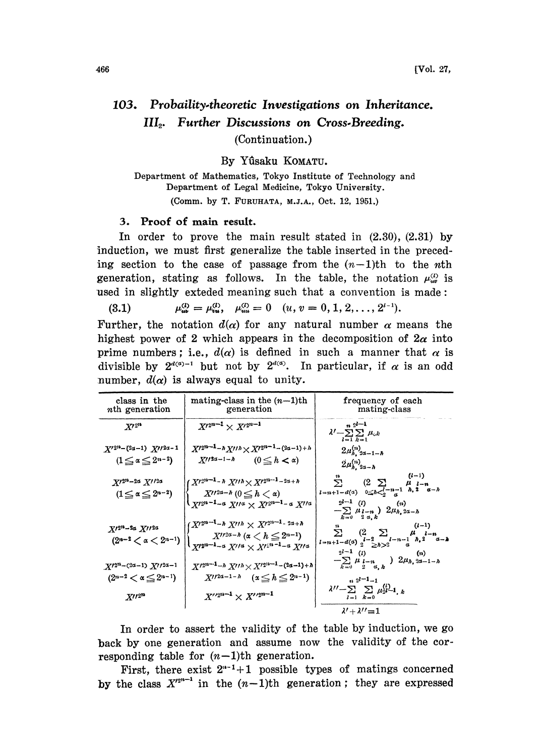## 103. Probaility.theoretic Investigations on Inheritance. III<sub>2</sub>. Further Discussions on Cross-Breeding.

(Continuation.)

By Yûsaku KOMATU.

Department of Mathematics, Tokyo Institute of Technology and Department of Legal Medicine, Tokyo University (Comm. by T. FURUHATA, M.J.A., Oct. 12, 1951.)

## 3. Proof of main result.

In order to prove the main result stated in  $(2.30)$ ,  $(2.31)$  by induction, we must first generalize the table inserted in the preceding section to the case of passage from the  $(n-1)$ th to the nth generation, stating as follows. In the table, the notation  $\mu_{uv}^{(l)}$  is used in slightly exteded meaning such that a convention is made:

(3.1)  $\mu_{uu}^{(l)} = \mu_{uu}^{(l)}, \quad \mu_{uu}^{(l)} = 0 \quad (u, v = 0, 1, 2, \ldots, 2^{l-1}).$ 

Further, the notation  $d(\alpha)$  for any natural number  $\alpha$  means the highest power of 2 which appears in the decomposition of  $2\alpha$  into prime numbers; i.e.,  $d(\alpha)$  is defined in such a manner that  $\alpha$  is divisible by  $2^{d(a)-1}$  but not by  $2^{d(a)}$ . In particular, if  $\alpha$  is an odd number,  $d(\alpha)$  is always equal to unity.

| class in the<br><i>n</i> th generation                                               | mating-class in the $(n-1)$ th<br>generation                                                                                                                                                                                  | frequency of each<br>mating-class                                                                                                                                                                             |
|--------------------------------------------------------------------------------------|-------------------------------------------------------------------------------------------------------------------------------------------------------------------------------------------------------------------------------|---------------------------------------------------------------------------------------------------------------------------------------------------------------------------------------------------------------|
| $X^{\prime 2^n}$                                                                     | $X^{2^{n-1}} \times X^{2^{n-1}}$                                                                                                                                                                                              | $n2^{l-1}$<br>$\lambda' - \sum \sum \mu_{ck}$<br>$l = 1$ $k = 1$                                                                                                                                              |
| $X'^{2n-(2\alpha-1)} X''^{2\alpha-1}$<br>$(1 \leq \alpha \leq 2^{n-2})$              | $X'^{2^{n-1}-h}X''^{h}\times X'^{2^{n-1}-(2a-1)+h}$<br>$X''^{2\alpha-1-\lambda}$ $(0 \leq h < \alpha)$                                                                                                                        | $2\mu_{h, 2\alpha-1-h}^{(n)}$<br>$2\mu_{h,2a-h}^{(n)}$                                                                                                                                                        |
| $X^{\prime 2^n - 2\alpha} X^{\prime \prime 2\alpha}$<br>$(1 \le \alpha \le 2^{n-2})$ | $X'^{2^{n-1}-h} X''^h \times X'^{2^{n-1}-2a+h}$<br>$X''^{2\alpha-h}$ $(0 \leq h < \alpha)$<br>$\chi_{N^{2n-1-\alpha} X^{l/\alpha} \times X^{l2^{n-1}-\alpha} X^{l/\alpha}}$                                                   | $(l-1)$<br>n<br>$\ddot{\Sigma}$<br>$(2 \Sigma$<br>$\mu$ $_{l-n}$<br>$l=n+1-d(\alpha)$ $0\leq h\leq \frac{l-n-1}{\alpha} h, 2 \alpha-h2^{l-1} (1)(n)-\sum_{k=0}\mu_{l-n}\choose 2\alpha_k} 2\mu_{h,2\alpha-h}$ |
| $X^{\prime 2^n-2a} X^{\prime \prime 2a}$<br>$(2^{n-2} < \alpha < 2^{n-1})$           | $(X^{\prime 2^{n-1}-h} X^{\prime\prime h} \times X^{\prime 2^{n-1}-2a+h})$<br>$X''^{2\alpha-h}$ ( $\alpha < h \leq 2^{n-1}$ )<br>$\lambda$ $X'^{2^{n-1}-\alpha}$ $X'^{/\alpha}$ $\times$ $X'^{2^{n-1}-\alpha}$ $X'^{/\alpha}$ | $(l-1)$<br>$\sum_{l=n+1-d(\alpha)}\left(\begin{matrix}\n2 & \sum & \mu & i-n \\ 2 & -2 & -n-1 & n-2 \\ 2 & \sum_{l} & n-2 & -n-2\n\end{matrix}\right)$<br>$2^{l-1}$ (i)<br>(n)                                |
| $X'^{2^n - (2\alpha - 1)} X'^{12\alpha - 1}$                                         | $X'^{2n-1}$ - $\hbar X''\hbar \times X'^{2n-1}$ - $(2a-1)+\hbar$                                                                                                                                                              | $-\sum_{k=0} \mu_{l-n}_{2}$ $\mu_{\lambda,k}$ ) $2\mu_{\lambda,2\alpha-1-\lambda}$                                                                                                                            |
| $(2^{n-2} < \alpha \leq 2^{n-1})$                                                    | $X''^{2\alpha-1-h}$ $(x \leq h \leq 2^{n-1})$                                                                                                                                                                                 | $n^{2l-1}-1$<br>$\lambda'' - \sum \sum \mu_2^{(i)} - 1$ , k                                                                                                                                                   |
| $X^{\prime\prime 2^m}$                                                               | $X^{\prime\prime 2^{n-1}}\times X^{\prime\prime 2^{n-1}}$                                                                                                                                                                     | $l=1$ $k=0$<br>$\lambda'+\lambda''=1$                                                                                                                                                                         |

In order to assert the validity of the table by induction, we go back by one generation and assume now the validity of the corresponding table for  $(n-1)$ th generation.

First, there exist  $2^{n-1}+1$  possible types of matings concerned by the class  $X'^{2^{n-1}}$  in the  $(n-1)$ th generation; they are expressed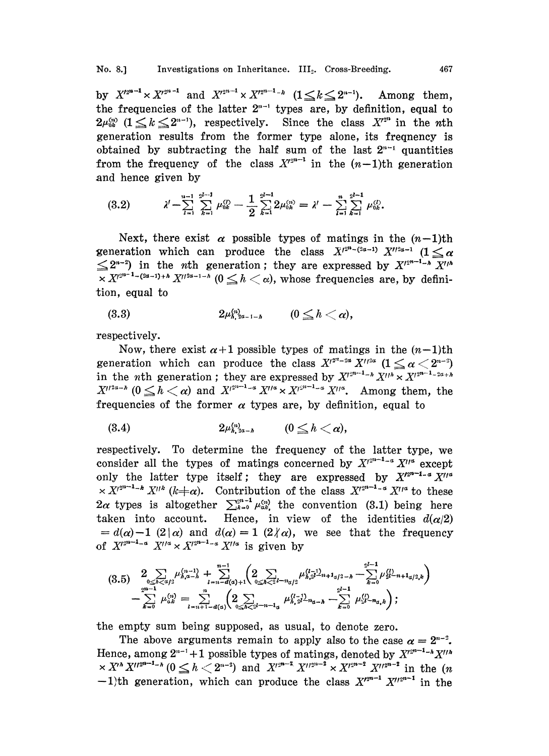by  $X'^{2^{n-1}} \times X'^{2^{n-1}}$  and  $X'^{2^{n-1}} \times X'^{2^{n-1}-k}$   $(1 \le k \le 2^{n-1})$ . Among them, the frequencies of the latter  $2^{n-1}$  types are, by definition, equal to  $2\mu_{\alpha}^{(n)}$   $(1 \leq k \leq 2^{n-1})$ , respectively. Since the class  $X'^{2^n}$  in the nth generation results from the former type alone, its freqnency is obtained by subtracting the half sum of the last  $2^{n-1}$  quantities from the frequency of the class  $X^{n-1}$  in the  $(n-1)$ th generation and hence given by

$$
(3.2) \qquad \lambda' - \sum_{l=1}^{n-1} \sum_{k=1}^{2^{l-1}} \mu_{0k}^{(l)} - \frac{1}{2} \sum_{k=1}^{2^{l-1}} 2\mu_{0k}^{(n)} = \lambda' - \sum_{l=1}^{n} \sum_{k=1}^{2^{l-1}} \mu_{0k}^{(l)}.
$$

Next, there exist  $\alpha$  possible types of matings in the  $(n-1)$ th generation which can produce the class  $X^{r^{2^{n}}-(2\alpha-1)}$   $X^{r^{2\alpha-1}}$   $(1 \leq \alpha$  $\leq 2^{n-2}$ ) in the nth generation; they are expressed by  $X^{12^{n-1}-\lambda}$   $\overline{X^{1/\lambda}}$  $\int_0^{\frac{2n-1}{n}} X$ <br>by defin  $X^{p^{2n-1}-(2\alpha-1)+h} X^{p^{2n-1-h}}$  ( $0 \leq h < \alpha$ ), whose frequencies are, by definition, equal to

$$
(3.3) \t2\mu^{\langle n\rangle}_{\lambda, 2\alpha-1-\hbar} \t(0\leq \hbar <\alpha),
$$

respectively.

Now, there exist  $\alpha+1$  possible types of matings in the  $(n-1)$ th generation which can produce the class  $X^{1^{2^{n}-2\alpha}} X^{1^{2\alpha}}$   $(1 \leq \alpha < 2^{n-2})$ in the *n*th generation; they are expressed by  $X$  $\lim_{n \to \infty}$  in the (<br>  $\lim_{n \to \infty} X^{n \times 2}$  ( $1 \leq \alpha$ <br>  $X^{n \times 3}$  ). Among the<br>  $X^{n \times 3}$  ition, equal in the *n*th generation; they are expressed by  $X^{12^{n-1}-h} X^{1/h} \times X^{12^{n-1}-2a+h}$ <br> $X^{12^{n-1}} (0 \le h < \alpha)$  and  $X^{12^{n-1}-\alpha} X^{1/\alpha} \times X^{12^{n-1}-\alpha} X^{1/\alpha}$ . Among them, the frequencies of the former  $\alpha$  types are, by definition, equal to<br>
(3.4)  $2\mu_{h,3a-\hbar}^{(n)}$  ( $0 \le \hbar < \alpha$ ),

$$
(3.4) \t2\mu_{h,2a-h}^{(n)} \t (0 \leq h < \alpha),
$$

respectively. To determine the frequency of the latter type, we consider all the types of matings concerned by  $X^{n-1-a} X^{n}$  except only the latter type itself; they are expressed by  $X'^{2^{n-1}-\alpha}X''^{\alpha}$  $\times X^{n^{2n-1-k}} X''^{k} (k \neq \alpha)$ . Contribution of the class  $X^{n^{2n-1}-\alpha} X''^{\alpha}$  to these  $2\alpha$  types is altogether  $\sum_{k=0}^{2^{n}-1} \mu_{\alpha k}^{(n)}$  the convention (3.1) being here taken into account. Hence, in view of the identities  $d(\alpha/2)$  $= d(\alpha)-1$  (2| $\alpha$ ) and  $d(\alpha) = 1$  (2 $\gamma$  $\alpha$ ), we see that the frequency of  $X'^{2^{n-1}-\alpha} X'^{\prime\alpha} \times X'^{2^{n-1}-\alpha} X'^{\prime\alpha}$  is given by

$$
(3.5) \quad\n\begin{aligned}\n&\sum_{0 \leq h < d/2} \mu_{h,a-h}^{(n-1)} + \sum_{l=n-d(a)+1}^{n-1} \left( 2 \sum_{0 \leq h < 2l} \mu_{h,a}^{(l-1)} \mu_{h,a}^{(l-1)} \right) \\
&\quad - \sum_{k=0}^{2^{n-1}} \mu_{a,k}^{(l)} = \sum_{l=n+1-d(a)}^{n} \left( 2 \sum_{0 \leq h < 2l} \mu_{h,a}^{(l-1)} \mu_{h,a}^{(l-1)} \right) \\
&\quad - \sum_{k=0}^{2^{l-1}} \mu_{a,k}^{(l)} = \sum_{l=n+1-d(a)}^{n} \left( 2 \sum_{0 \leq h < 2l} \mu_{h,a}^{(l-1)} \mu_{h,a}^{(l-1)} \right) \\
&\quad + \sum_{k=0}^{2^{l-1}} \mu_{k}^{(l)} \left( 2 \sum_{0 \leq h < 2l} \mu_{h,a}^{(l-1)} \mu_{h,a}^{(l-1)} \right) \\
&\quad + \sum_{k=0}^{2^{l-1}} \mu_{k}^{(l)} \left( 2 \sum_{0 \leq h < 2l} \mu_{h,a}^{(l-1)} \mu_{h,a}^{(l-1)} \right) \\
&\quad + \sum_{k=0}^{2^{l-1}} \mu_{k}^{(l)} \left( 2 \sum_{0 \leq h < 2l} \mu_{h,a}^{(l-1)} \mu_{h,a}^{(l-1)} \right) \\
&\quad + \sum_{k=0}^{2^{l-1}} \mu_{k}^{(l)} \left( 2 \sum_{0 \leq h < 2l} \mu_{h,a}^{(l-1)} \mu_{h,a}^{(l-1)} \right) \\
&\quad + \sum_{k=0}^{2^{l-1}} \mu_{k}^{(l)} \left( 2 \sum_{0 \leq h < 2l} \mu_{h,a}^{(l-1)} \mu_{h,a}^{(l-1)} \right) \\
&\quad + \sum_{k=0}^{2^{l-1}} \mu_{k}^{(l)} \left( 2 \sum_{0 \leq h < 2l} \mu_{h,a}^{(l)} \right) \\
&\quad + \sum_{k=0}^{2^{l-1}} \mu_{k}^{(l)} \left( 2 \sum_{0 \
$$

the empty sum being supposed, as usual, to denote zero.

The above arguments remain to apply also to the case  $\alpha = 2^{n-2}$ . Hence, among  $2^{n-1}+1$  possible types of matings, denoted by  $X'^{2^{n-1}-\lambda}X''^{\lambda}$  $x X^{n} X^{l!2^{n-1}-n}$   $(0 \leq h < 2^{n-2})$  and  $X^{l2^{n-2}} X^{l!2^{n-2}} \times X^{l2^{n-2}} X^{l!2^{n-2}}$  in the  $(n-1)$  $-1$ )th generation, which can produce the class  $X'^{n-1} X''^{n-1}$  in the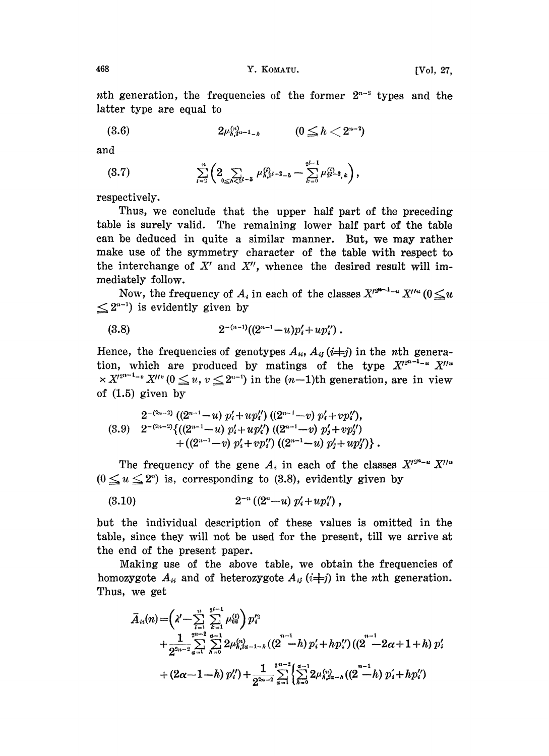nth generation, the frequencies of the former  $2^{n-2}$  types and the latter type are equal to latter type are equal to

$$
(3.6) \t 2\mu_{h,2^{n-1}-h}^{(n)} \t (0 \leq h < 2^{n-2})
$$

and

$$
(3.7) \qquad \qquad \sum_{l=2}^n \left(2 \sum_{0 \le h \le 2l-3} \mu_{h,\lambda}^{(l)} z_{l-1} - \sum_{k=0}^{2l-1} \mu_{2l-2,k}^{(l)}\right),
$$

respectively.

Thus, we conclude that the upper half part of the preceding table is surely valid. The remaining lower half part of the table can be deduced in quite a similar manner. But, we may rather make use of the symmetry character of the table with respect to the interchange of  $X'$  and  $X''$ , whence the desired result will immediately follow.

Now, the frequency of  $A_i$  in each of the classes  $X$  $e^{2n-1-u} X''^{u} (0 \leq u$  $\leq 2^{n-1}$ ) is evidently given by

$$
(3.8) \t2^{-(n-1)}((2^{n-1}-u)p'_i+up''_i).
$$

(3.8)  $2^{-(n-1)}((2^{n-1}-u)p'_i+up''_i)$ .<br>Hence, the frequencies of genotypes  $A_{ii}$ ,  $A_{ij}$  ( $i=j$ ) in the *n*th generation, which are produced by matings of the type  $X^{r_{2}^{n-1} - u} X''^{u}$  $x \times X^{n-1}$  v  $X''(0 \le u, v \le 2^{n-1})$  in the  $(n-1)$ th generation, are in view of (1.5) given by

$$
\begin{array}{lll}\n2^{-(2n-2)} ((2^{n-1}-u) p_i' + u p_i'') ((2^{n-1}-v) p_i' + v p_i''), \\
(3.9) & 2^{-(2n-2)} \{((2^{n-1}-u) p_i' + u p_i'') ((2^{n-1}-v) p_j' + v p_j'') \\
 & + ((2^{n-1}-v) p_i' + v p_i'') ((2^{n-1}-u) p_j' + u p_j'')\}.\n\end{array}
$$

The frequency of the gene  $A_i$  in each of the classes  $X'^{2^{n}-u} X''^{u}$  $(0 \le u \le 2^n)$  is, corresponding to (3.8), evidently given by

$$
(3.10) \t2^{-n} ((2^n-u) p'_i+up''_i),
$$

but the individual description of these values is omitted in the table, since they will not be used for the present, till we arrive at the end of the present paper.

Making use of the above table, we obtain the frequencies of homozygote  $A_{ii}$  and of heterozygote  $A_{ij}$  ( $i\neq j$ ) in the nth generation. Thus, we get

$$
\bar{A}_{ii}(n) = \left(\lambda' - \sum_{i=1}^{n} \sum_{k=1}^{2^{i-1}} \mu_{0k}^{(l)}\right) p_{i}^{'2} \n+ \frac{1}{2^{2n-2}} \sum_{\alpha=1}^{2^{n-2}} \sum_{h=0}^{\alpha-1} 2\mu_{h,2\alpha-1-h}^{(n)} \left(\left(2\right)^{n-1} h\right) p_{i}^{'} + hp_{i}^{'\prime}\right) \left(\left(2\right)^{n-1} - 2\alpha + 1 + h\right) p_{i}^{'} \n+ \left(2\alpha - 1 - h\right) p_{i}^{'\prime}\right) + \frac{1}{2^{2n-2}} \sum_{\alpha=1}^{2^{n-2}} \left\{\sum_{h=0}^{\alpha-1} 2\mu_{h,2\alpha-h}^{(n)} \left(\left(2\right)^{n-1} h\right) p_{i}^{'} + hp_{i}^{'\prime}\right)
$$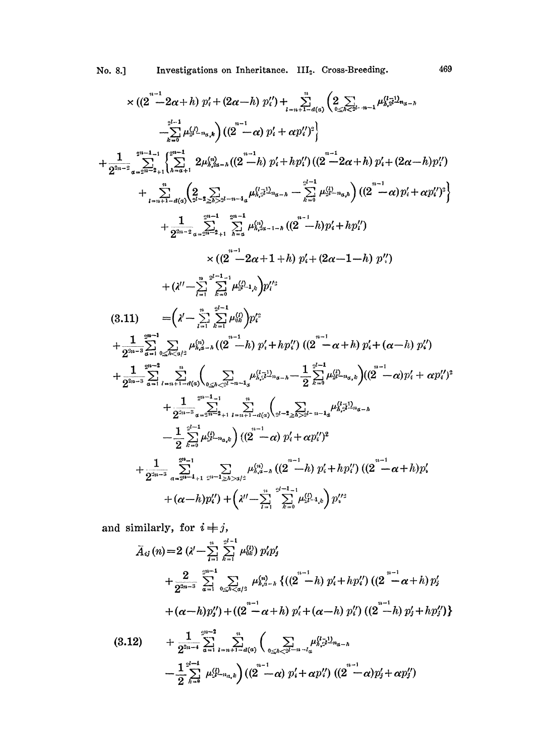No. 8.] Investigations on Inheritance. III<sub>2</sub>. Cross-Breeding.

$$
\times ((2^{n-1} - 2\alpha + h) p'_{i} + (2\alpha - h) p'_{i}) + \sum_{i=n+1}^{n} (2 \sum_{a \leq n \leq k-n-1} \mu_{h,n}^{(1)} \mu_{n}^{(2)} - \mu_{n}^{(1)} \mu_{n}^{(3)} \mu_{n-2})
$$
  
\n
$$
- \sum_{k=0}^{n^{t-1}} \mu_{2}^{(j)} \mu_{2}^{(k)} \left( (2^{n} - \alpha) p'_{i} + \alpha p''_{i} \right)^{2}
$$
  
\n+ 
$$
\frac{1}{2^{2n-2}} \sum_{a=2^{n-2}+1}^{2^{n-1}-1} \left\{ \sum_{a=1}^{2^{n-1}} 2\mu_{h,n-1}^{(j)} \left( (2^{n-1} - h) p'_{i} + h p''_{i} \right) \left( (2^{n-1} - 2\alpha + h) p'_{i} + (2\alpha - h) p''_{i} \right) \right\}
$$
  
\n+ 
$$
\frac{1}{2^{2n-2}} \sum_{a=2^{n-2}+1}^{2^{n-1}} \sum_{i=1}^{2^{n-1}} \sum_{k=0}^{2^{n-1}} \mu_{h,n-1}^{(j)} \mu_{2}^{(j)} \mu_{2}^{(j)} \mu_{2}^{(j)} \mu_{2}^{(j)} \mu_{2}^{(j)} \mu_{2}^{(j)} \mu_{2}^{(j)} \mu_{2}^{(j)} \mu_{2}^{(j)} \mu_{2}^{(j)} \mu_{2}^{(j)} \mu_{2}^{(j)} \mu_{2}^{(j)} \mu_{2}^{(j)} \mu_{2}^{(j)} \mu_{2}^{(j)} \mu_{2}^{(j)} \mu_{2}^{(j)} \mu_{2}^{(j)} \mu_{2}^{(j)} \mu_{2}^{(j)} \mu_{2}^{(j)} \mu_{2}^{(j)} \mu_{2}^{(j)} \mu_{2}^{(j)} \mu_{2}^{(j)} \mu_{2}^{(j)} \mu_{2}^{(j)} \mu_{2}^{(j)} \mu_{2}^{(j)} \mu_{2}^{(j)} \mu_{2}^{(j)} \mu_{2}^{(j)} \mu_{2}^{(j)} \mu_{2}^{(j)} \mu_{2}^{(j)} \mu_{2}^{(j)} \mu_{2}^{(j
$$

and similarly, for  $i + j$ ,

$$
\bar{A}_{ij}(n) = 2 \left( \lambda' - \sum_{i=1}^{n} \sum_{k=1}^{2^{i-1}} \mu_{0k}^{(l)} \right) p_{i}'p_{j}'
$$
\n
$$
+ \frac{2}{2^{2n-3}} \sum_{\alpha=1}^{2^{n-1}} \sum_{0 \leq h < \alpha/3}^{\infty} \mu_{h,\alpha-h}^{(n)} \left\{ \left( \left( 2^{n-1}h \right) p_{i}' + h p_{i}' \right) \left( \left( 2^{n-1} \alpha + h \right) p_{j}' \right. \right. \left. + \left( \alpha - h \right) p_{j}' \right\} + \left( \left( 2^{n-1} \alpha + h \right) p_{i}' + \left( \alpha - h \right) p_{i}' \right) \left( \left( 2^{n-1} h \right) p_{j} + h p_{j}'' \right) \right\}
$$

$$
(3.12) \qquad + \frac{1}{2^{2n-4}} \sum_{\alpha=1}^{2^{n-2}} \sum_{l=n+1-d(\alpha)}^{n} \left( \sum_{0 \leq h < 2^{l-n} - l} \mu_{h,\beta}^{(l-1)} \mu_{\alpha-h}^{(l)} \right. \\ \qquad \left. - \frac{1}{2} \sum_{k=0}^{2^{l-1}} \mu_{\beta-h}^{(l)} \mu_{\alpha,k}^{(l)} \right) \left( \left( 2 - \alpha \right) p_i' + \alpha p_i'' \right) \left( \left( 2 - \alpha \right) p_j' + \alpha p_j'' \right)
$$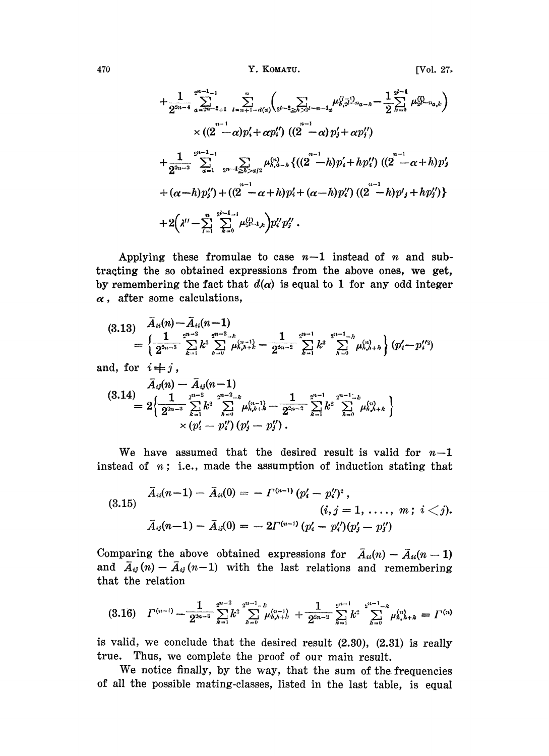470 Y. KOMATU. [Vol. 27,

$$
+\frac{1}{2^{2n-4}}\sum_{\alpha=2^{n-2}+1}^{2^{n-1}-1}\sum_{i=n+1-d(\alpha)}^{n}\left(\sum_{2^{l-2}\geq h\geq 2^{l-n-1}a}\mu_{h,2}^{(l-1)}\mu_{g,2}^{n-1}-\frac{1}{2}\sum_{k=0}^{2^{l-1}}\mu_{2^{l-1}a,k}^{(l)}\right) \times\left((2^{n-1}-\alpha)p'_{1}+\alpha p''_{1}\right)\left((2^{n-1}-\alpha)p'_{j}+\alpha p''_{j}\right) +\frac{1}{2^{2n-3}}\sum_{\alpha=1}^{2^{n-1}-1}\sum_{2^{n-1}\geq h\geq a/2}\mu_{h,\alpha-h}^{(n)}\left\{\left((2^{n-1}-h)p'_{1}+hp''_{1}\right)\left((2^{n-1}-\alpha+h)p'_{j}\right) +(\alpha-h)p''_{j}\right\} + (\alpha-h)p''_{j}\right) +\left((2^{n-1}-\alpha+h)p'_{1}+\alpha-h)p''_{1}\right)\left((2^{n-1}-h)p'_{j}+hp''_{j}\right) +2\left(\lambda''-\sum_{l=1}^{n}\sum_{k=0}^{2^{l-1}-1}\mu_{2^{l-1},k}^{(l)}\right)p''_{i}p''_{j}.
$$

Applying these fromulae to case  $n-1$  instead of n and subtracting the so obtained expressions from the above ones, we get, by remembering the fact that  $d(\alpha)$  is equal to 1 for any odd integer  $\alpha$ , after some calculations,

$$
(3.13) \quad \bar{A}_{ii}(n) - \bar{A}_{ii}(n-1) = \left\{ \frac{1}{2^{2n-3}} \sum_{k=1}^{2^{n-2}} k^3 \sum_{h=0}^{2^{n-2}-k} \mu_{h,h+k}^{(n-1)} - \frac{1}{2^{2n-2}} \sum_{k=1}^{2^{n-1}} k^3 \sum_{h=0}^{2^{n-1}-k} \mu_{h,h+k}^{(n)} \right\} (p'_i - p''_i)
$$

and, for  $i \neq j$ ,

$$
(3.14) \frac{\bar{A}_{ij}(n) - \bar{A}_{ij}(n-1)}{2^{2n-3} \sum_{k=1}^{2^{n-2}} k^2 \sum_{h=0}^{2^{n-2}-k} \mu_{h,h+k}^{(n-1)} - \frac{1}{2^{2n-2}} \sum_{k=1}^{2^{n-1}} k^2 \sum_{h=0}^{2^{n-1}-k} \mu_{h,h+k}^{(n)} } \times (p'_i - p''_i) (p'_j - p''_j).
$$

We have assumed that the desired result is valid for  $n-1$ instead of  $n$ ; i.e., made the assumption of induction stating that

$$
\bar{A}_{ii}(n-1) - \bar{A}_{ii}(0) = -\Gamma^{(n-1)}(p'_i - p''_i)^2, \n(i, j = 1, ..., m; i < j). \n\bar{A}_{ij}(n-1) - \bar{A}_{ij}(0) = -2\Gamma^{(n-1)}(p'_i - p''_i)(p'_j - p''_j)
$$

Comparing the above obtained expressions for  $\bar{A}_{ii}(n)-\bar{A}_{ii}(n-1)$ and  $\bar{A}_{ij}(n)-\bar{A}_{ij}(n-1)$  with the last relations and remembering that the relation

$$
(3.16) \quad I^{(n-1)} = \frac{1}{2^{2n-3}} \sum_{k=1}^{2^{2n-2}} k^2 \sum_{h=0}^{2^{2n-1}-k} \mu_{h,h+k}^{(n-1)} + \frac{1}{2^{2n-2}} \sum_{k=1}^{2^{2n-1}} k^2 \sum_{h=0}^{2^{2n-1}-k} \mu_{h,h+k}^{(n)} = \Gamma^{(n)}
$$

is valid, we conclude that the desired result (2.30), (2.31) is really true. Thus, we complete the proof of our main result.

We notice finally, by the way, that the sum of the frequencies of all the possible mating-classes, listed in the last table, is equal